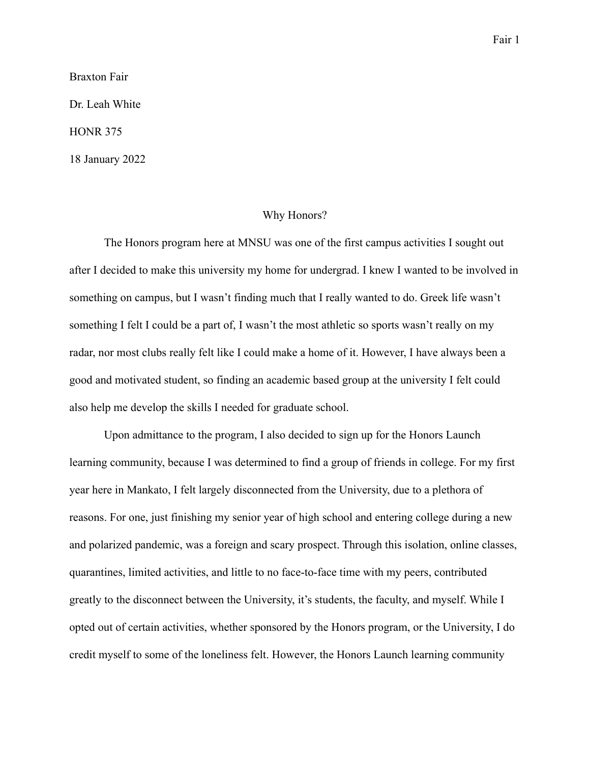Braxton Fair

Dr. Leah White

HONR 375

18 January 2022

## Why Honors?

The Honors program here at MNSU was one of the first campus activities I sought out after I decided to make this university my home for undergrad. I knew I wanted to be involved in something on campus, but I wasn't finding much that I really wanted to do. Greek life wasn't something I felt I could be a part of, I wasn't the most athletic so sports wasn't really on my radar, nor most clubs really felt like I could make a home of it. However, I have always been a good and motivated student, so finding an academic based group at the university I felt could also help me develop the skills I needed for graduate school.

Upon admittance to the program, I also decided to sign up for the Honors Launch learning community, because I was determined to find a group of friends in college. For my first year here in Mankato, I felt largely disconnected from the University, due to a plethora of reasons. For one, just finishing my senior year of high school and entering college during a new and polarized pandemic, was a foreign and scary prospect. Through this isolation, online classes, quarantines, limited activities, and little to no face-to-face time with my peers, contributed greatly to the disconnect between the University, it's students, the faculty, and myself. While I opted out of certain activities, whether sponsored by the Honors program, or the University, I do credit myself to some of the loneliness felt. However, the Honors Launch learning community